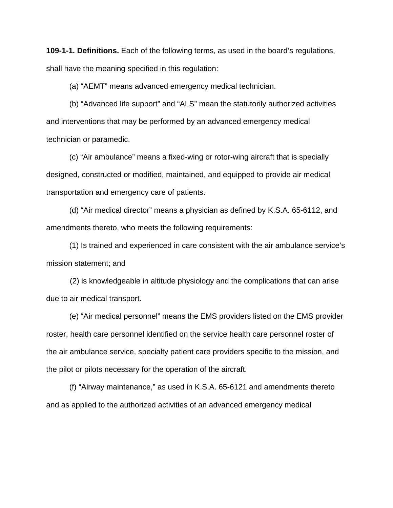**109-1-1. Definitions.** Each of the following terms, as used in the board's regulations, shall have the meaning specified in this regulation:

(a) "AEMT" means advanced emergency medical technician.

 (b) "Advanced life support" and "ALS" mean the statutorily authorized activities and interventions that may be performed by an advanced emergency medical technician or paramedic.

(c) "Air ambulance" means a fixed-wing or rotor-wing aircraft that is specially designed, constructed or modified, maintained, and equipped to provide air medical transportation and emergency care of patients.

(d) "Air medical director" means a physician as defined by K.S.A. 65-6112, and amendments thereto, who meets the following requirements:

(1) Is trained and experienced in care consistent with the air ambulance service's mission statement; and

 (2) is knowledgeable in altitude physiology and the complications that can arise due to air medical transport.

(e) "Air medical personnel" means the EMS providers listed on the EMS provider roster, health care personnel identified on the service health care personnel roster of the air ambulance service, specialty patient care providers specific to the mission, and the pilot or pilots necessary for the operation of the aircraft.

(f) "Airway maintenance," as used in K.S.A. 65-6121 and amendments thereto and as applied to the authorized activities of an advanced emergency medical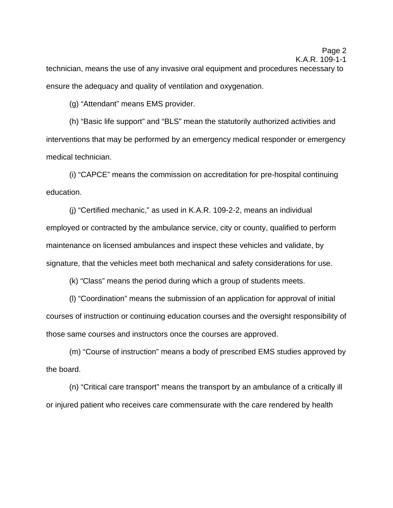K.A.R. 109-1-1

technician, means the use of any invasive oral equipment and procedures necessary to ensure the adequacy and quality of ventilation and oxygenation.

(g) "Attendant" means EMS provider.

 (h) "Basic life support" and "BLS" mean the statutorily authorized activities and interventions that may be performed by an emergency medical responder or emergency medical technician.

(i) "CAPCE" means the commission on accreditation for pre-hospital continuing education.

(j) "Certified mechanic," as used in K.A.R. 109-2-2, means an individual employed or contracted by the ambulance service, city or county, qualified to perform maintenance on licensed ambulances and inspect these vehicles and validate, by signature, that the vehicles meet both mechanical and safety considerations for use.

(k) "Class" means the period during which a group of students meets.

(l) "Coordination" means the submission of an application for approval of initial courses of instruction or continuing education courses and the oversight responsibility of those same courses and instructors once the courses are approved.

(m) "Course of instruction" means a body of prescribed EMS studies approved by the board.

 (n) "Critical care transport" means the transport by an ambulance of a critically ill or injured patient who receives care commensurate with the care rendered by health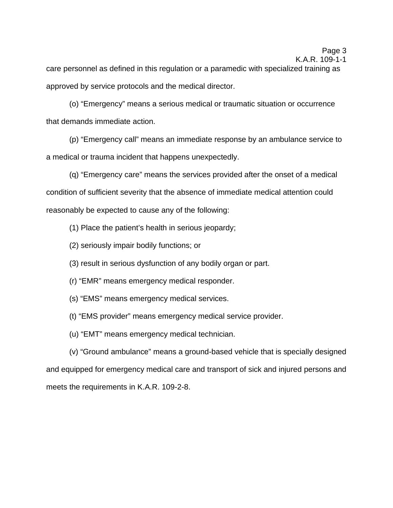care personnel as defined in this regulation or a paramedic with specialized training as approved by service protocols and the medical director.

 (o) "Emergency" means a serious medical or traumatic situation or occurrence that demands immediate action.

 (p) "Emergency call" means an immediate response by an ambulance service to a medical or trauma incident that happens unexpectedly.

 (q) "Emergency care" means the services provided after the onset of a medical condition of sufficient severity that the absence of immediate medical attention could reasonably be expected to cause any of the following:

(1) Place the patient's health in serious jeopardy;

(2) seriously impair bodily functions; or

(3) result in serious dysfunction of any bodily organ or part.

(r) "EMR" means emergency medical responder.

(s) "EMS" means emergency medical services.

(t) "EMS provider" means emergency medical service provider.

(u) "EMT" means emergency medical technician.

 (v) "Ground ambulance" means a ground-based vehicle that is specially designed and equipped for emergency medical care and transport of sick and injured persons and meets the requirements in K.A.R. 109-2-8.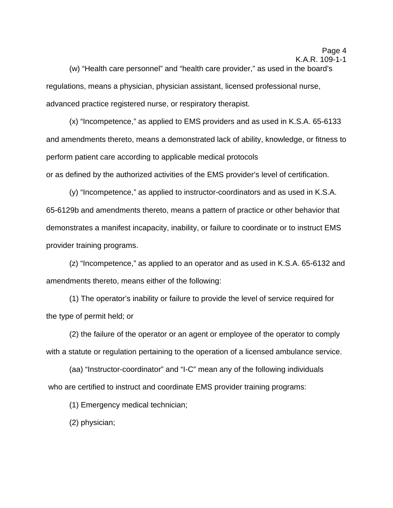(w) "Health care personnel" and "health care provider," as used in the board's regulations, means a physician, physician assistant, licensed professional nurse, advanced practice registered nurse, or respiratory therapist.

 (x) "Incompetence," as applied to EMS providers and as used in K.S.A. 65-6133 and amendments thereto, means a demonstrated lack of ability, knowledge, or fitness to perform patient care according to applicable medical protocols or as defined by the authorized activities of the EMS provider's level of certification.

 (y) "Incompetence," as applied to instructor-coordinators and as used in K.S.A. 65-6129b and amendments thereto, means a pattern of practice or other behavior that demonstrates a manifest incapacity, inability, or failure to coordinate or to instruct EMS provider training programs.

 (z) "Incompetence," as applied to an operator and as used in K.S.A. 65-6132 and amendments thereto, means either of the following:

(1) The operator's inability or failure to provide the level of service required for the type of permit held; or

(2) the failure of the operator or an agent or employee of the operator to comply with a statute or regulation pertaining to the operation of a licensed ambulance service.

 (aa) "Instructor-coordinator" and "I-C" mean any of the following individuals who are certified to instruct and coordinate EMS provider training programs:

(1) Emergency medical technician;

(2) physician;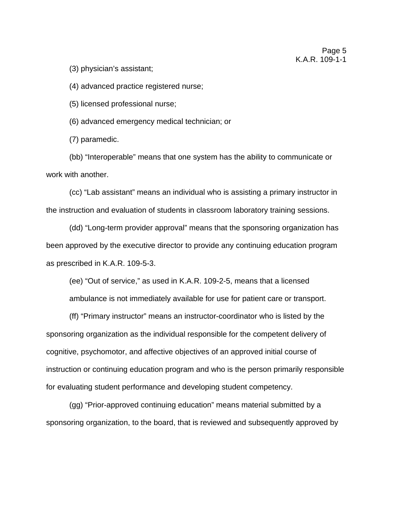(3) physician's assistant;

(4) advanced practice registered nurse;

(5) licensed professional nurse;

(6) advanced emergency medical technician; or

(7) paramedic.

 (bb) "Interoperable" means that one system has the ability to communicate or work with another.

 (cc) "Lab assistant" means an individual who is assisting a primary instructor in the instruction and evaluation of students in classroom laboratory training sessions.

 (dd) "Long-term provider approval" means that the sponsoring organization has been approved by the executive director to provide any continuing education program as prescribed in K.A.R. 109-5-3.

 (ee) "Out of service," as used in K.A.R. 109-2-5, means that a licensed ambulance is not immediately available for use for patient care or transport.

(ff) "Primary instructor" means an instructor-coordinator who is listed by the sponsoring organization as the individual responsible for the competent delivery of cognitive, psychomotor, and affective objectives of an approved initial course of instruction or continuing education program and who is the person primarily responsible for evaluating student performance and developing student competency.

(gg) "Prior-approved continuing education" means material submitted by a sponsoring organization, to the board, that is reviewed and subsequently approved by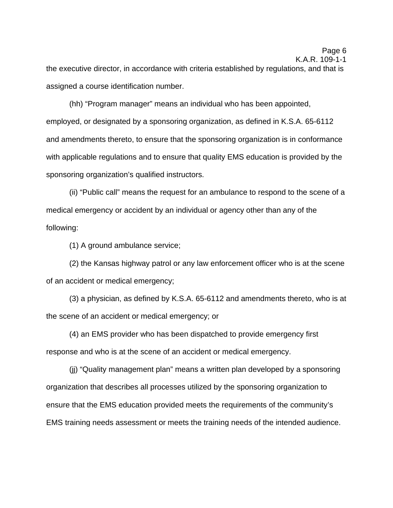the executive director, in accordance with criteria established by regulations, and that is assigned a course identification number.

(hh) "Program manager" means an individual who has been appointed, employed, or designated by a sponsoring organization, as defined in K.S.A. 65-6112 and amendments thereto, to ensure that the sponsoring organization is in conformance with applicable regulations and to ensure that quality EMS education is provided by the sponsoring organization's qualified instructors.

(ii) "Public call" means the request for an ambulance to respond to the scene of a medical emergency or accident by an individual or agency other than any of the following:

(1) A ground ambulance service;

(2) the Kansas highway patrol or any law enforcement officer who is at the scene of an accident or medical emergency;

(3) a physician, as defined by K.S.A. 65-6112 and amendments thereto, who is at the scene of an accident or medical emergency; or

(4) an EMS provider who has been dispatched to provide emergency first response and who is at the scene of an accident or medical emergency.

(jj) "Quality management plan" means a written plan developed by a sponsoring organization that describes all processes utilized by the sponsoring organization to ensure that the EMS education provided meets the requirements of the community's EMS training needs assessment or meets the training needs of the intended audience.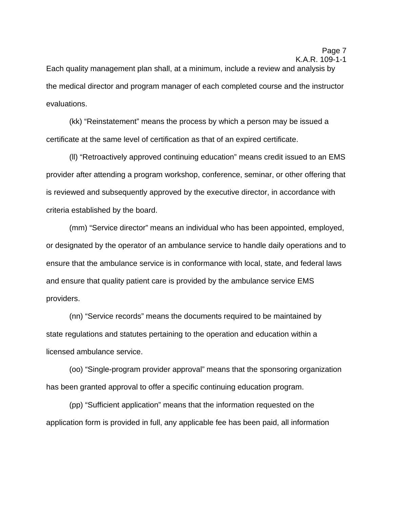Each quality management plan shall, at a minimum, include a review and analysis by the medical director and program manager of each completed course and the instructor evaluations.

(kk) "Reinstatement" means the process by which a person may be issued a certificate at the same level of certification as that of an expired certificate.

(ll) "Retroactively approved continuing education" means credit issued to an EMS provider after attending a program workshop, conference, seminar, or other offering that is reviewed and subsequently approved by the executive director, in accordance with criteria established by the board.

 (mm) "Service director" means an individual who has been appointed, employed, or designated by the operator of an ambulance service to handle daily operations and to ensure that the ambulance service is in conformance with local, state, and federal laws and ensure that quality patient care is provided by the ambulance service EMS providers.

(nn) "Service records" means the documents required to be maintained by state regulations and statutes pertaining to the operation and education within a licensed ambulance service.

 (oo) "Single-program provider approval" means that the sponsoring organization has been granted approval to offer a specific continuing education program.

 (pp) "Sufficient application" means that the information requested on the application form is provided in full, any applicable fee has been paid, all information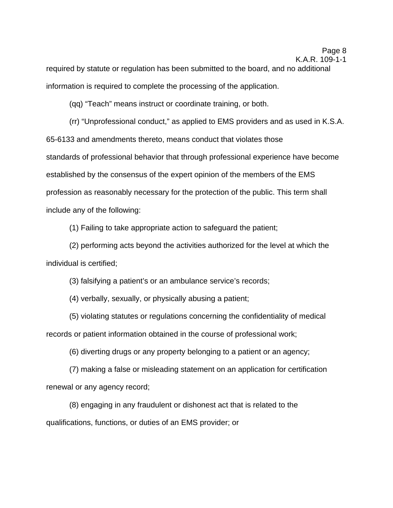required by statute or regulation has been submitted to the board, and no additional information is required to complete the processing of the application.

(qq) "Teach" means instruct or coordinate training, or both.

 (rr) "Unprofessional conduct," as applied to EMS providers and as used in K.S.A. 65-6133 and amendments thereto, means conduct that violates those standards of professional behavior that through professional experience have become established by the consensus of the expert opinion of the members of the EMS profession as reasonably necessary for the protection of the public. This term shall include any of the following:

(1) Failing to take appropriate action to safeguard the patient;

(2) performing acts beyond the activities authorized for the level at which the individual is certified;

(3) falsifying a patient's or an ambulance service's records;

(4) verbally, sexually, or physically abusing a patient;

(5) violating statutes or regulations concerning the confidentiality of medical records or patient information obtained in the course of professional work;

(6) diverting drugs or any property belonging to a patient or an agency;

(7) making a false or misleading statement on an application for certification renewal or any agency record;

 (8) engaging in any fraudulent or dishonest act that is related to the qualifications, functions, or duties of an EMS provider; or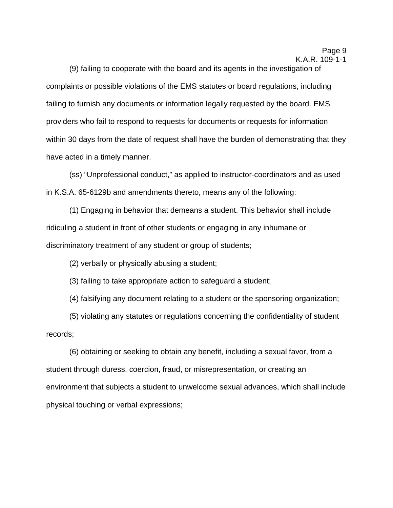(9) failing to cooperate with the board and its agents in the investigation of complaints or possible violations of the EMS statutes or board regulations, including failing to furnish any documents or information legally requested by the board. EMS providers who fail to respond to requests for documents or requests for information within 30 days from the date of request shall have the burden of demonstrating that they have acted in a timely manner.

 (ss) "Unprofessional conduct," as applied to instructor-coordinators and as used in K.S.A. 65-6129b and amendments thereto, means any of the following:

(1) Engaging in behavior that demeans a student. This behavior shall include ridiculing a student in front of other students or engaging in any inhumane or discriminatory treatment of any student or group of students;

(2) verbally or physically abusing a student;

(3) failing to take appropriate action to safeguard a student;

(4) falsifying any document relating to a student or the sponsoring organization;

 (5) violating any statutes or regulations concerning the confidentiality of student records;

(6) obtaining or seeking to obtain any benefit, including a sexual favor, from a student through duress, coercion, fraud, or misrepresentation, or creating an environment that subjects a student to unwelcome sexual advances, which shall include physical touching or verbal expressions;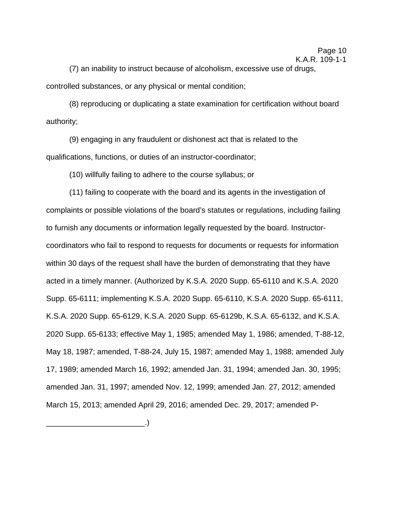(7) an inability to instruct because of alcoholism, excessive use of drugs, controlled substances, or any physical or mental condition;

(8) reproducing or duplicating a state examination for certification without board authority;

(9) engaging in any fraudulent or dishonest act that is related to the qualifications, functions, or duties of an instructor-coordinator;

(10) willfully failing to adhere to the course syllabus; or

(11) failing to cooperate with the board and its agents in the investigation of complaints or possible violations of the board's statutes or regulations, including failing to furnish any documents or information legally requested by the board. Instructorcoordinators who fail to respond to requests for documents or requests for information within 30 days of the request shall have the burden of demonstrating that they have acted in a timely manner. (Authorized by K.S.A. 2020 Supp. 65-6110 and K.S.A. 2020 Supp. 65-6111; implementing K.S.A. 2020 Supp. 65-6110, K.S.A. 2020 Supp. 65-6111, K.S.A. 2020 Supp. 65-6129, K.S.A. 2020 Supp. 65-6129b, K.S.A. 65-6132, and K.S.A. 2020 Supp. 65-6133; effective May 1, 1985; amended May 1, 1986; amended, T-88-12, May 18, 1987; amended, T-88-24, July 15, 1987; amended May 1, 1988; amended July 17, 1989; amended March 16, 1992; amended Jan. 31, 1994; amended Jan. 30, 1995; amended Jan. 31, 1997; amended Nov. 12, 1999; amended Jan. 27, 2012; amended March 15, 2013; amended April 29, 2016; amended Dec. 29, 2017; amended P-

\_\_\_\_\_\_\_\_\_\_\_\_\_\_\_\_\_\_\_\_\_\_\_.)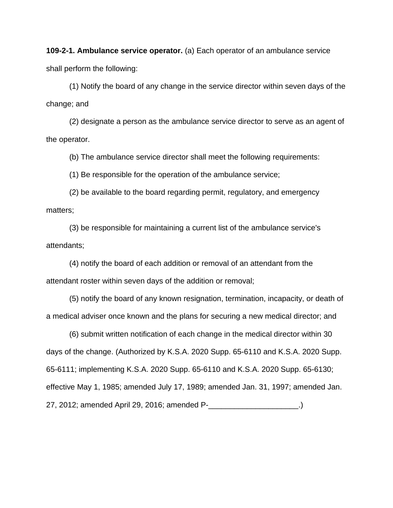**109-2-1. Ambulance service operator.** (a) Each operator of an ambulance service shall perform the following:

(1) Notify the board of any change in the service director within seven days of the change; and

(2) designate a person as the ambulance service director to serve as an agent of the operator.

(b) The ambulance service director shall meet the following requirements:

(1) Be responsible for the operation of the ambulance service;

(2) be available to the board regarding permit, regulatory, and emergency matters;

(3) be responsible for maintaining a current list of the ambulance service's attendants;

(4) notify the board of each addition or removal of an attendant from the attendant roster within seven days of the addition or removal;

(5) notify the board of any known resignation, termination, incapacity, or death of a medical adviser once known and the plans for securing a new medical director; and

(6) submit written notification of each change in the medical director within 30 days of the change. (Authorized by K.S.A. 2020 Supp. 65-6110 and K.S.A. 2020 Supp. 65-6111; implementing K.S.A. 2020 Supp. 65-6110 and K.S.A. 2020 Supp. 65-6130; effective May 1, 1985; amended July 17, 1989; amended Jan. 31, 1997; amended Jan. 27, 2012; amended April 29, 2016; amended P-\_\_\_\_\_\_\_\_\_\_\_\_\_\_\_\_\_\_\_\_\_.)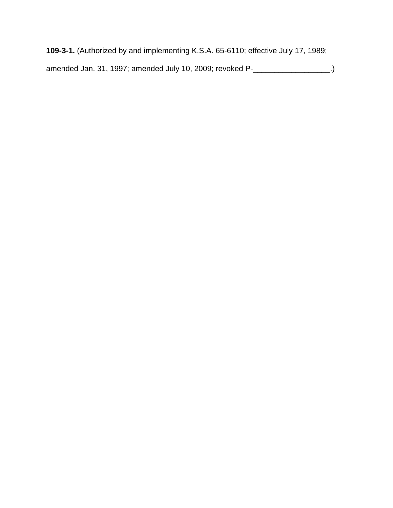**109-3-1.** (Authorized by and implementing K.S.A. 65-6110; effective July 17, 1989; amended Jan. 31, 1997; amended July 10, 2009; revoked P-\_\_\_\_\_\_\_\_\_\_\_\_\_\_\_\_\_\_.)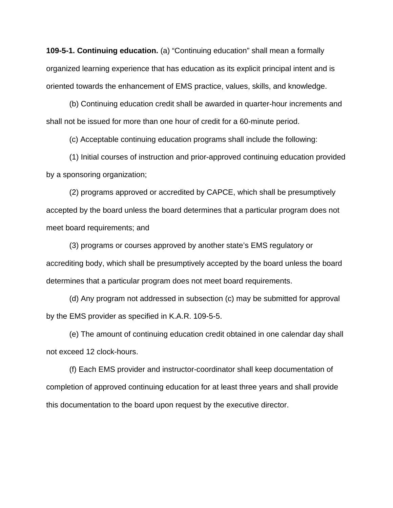**109-5-1. Continuing education.** (a) "Continuing education" shall mean a formally organized learning experience that has education as its explicit principal intent and is oriented towards the enhancement of EMS practice, values, skills, and knowledge.

(b) Continuing education credit shall be awarded in quarter-hour increments and shall not be issued for more than one hour of credit for a 60-minute period.

(c) Acceptable continuing education programs shall include the following:

(1) Initial courses of instruction and prior-approved continuing education provided by a sponsoring organization;

(2) programs approved or accredited by CAPCE, which shall be presumptively accepted by the board unless the board determines that a particular program does not meet board requirements; and

(3) programs or courses approved by another state's EMS regulatory or accrediting body, which shall be presumptively accepted by the board unless the board determines that a particular program does not meet board requirements.

(d) Any program not addressed in subsection (c) may be submitted for approval by the EMS provider as specified in K.A.R. 109-5-5.

(e) The amount of continuing education credit obtained in one calendar day shall not exceed 12 clock-hours.

(f) Each EMS provider and instructor-coordinator shall keep documentation of completion of approved continuing education for at least three years and shall provide this documentation to the board upon request by the executive director.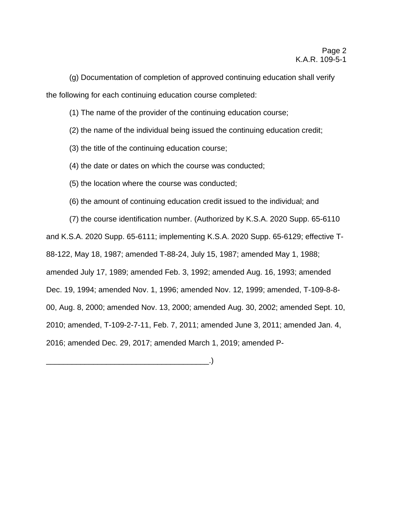(g) Documentation of completion of approved continuing education shall verify the following for each continuing education course completed:

(1) The name of the provider of the continuing education course;

- (2) the name of the individual being issued the continuing education credit;
- (3) the title of the continuing education course;
- (4) the date or dates on which the course was conducted;
- (5) the location where the course was conducted;
- (6) the amount of continuing education credit issued to the individual; and

(7) the course identification number. (Authorized by K.S.A. 2020 Supp. 65-6110 and K.S.A. 2020 Supp. 65-6111; implementing K.S.A. 2020 Supp. 65-6129; effective T-88-122, May 18, 1987; amended T-88-24, July 15, 1987; amended May 1, 1988; amended July 17, 1989; amended Feb. 3, 1992; amended Aug. 16, 1993; amended Dec. 19, 1994; amended Nov. 1, 1996; amended Nov. 12, 1999; amended, T-109-8-8- 00, Aug. 8, 2000; amended Nov. 13, 2000; amended Aug. 30, 2002; amended Sept. 10, 2010; amended, T-109-2-7-11, Feb. 7, 2011; amended June 3, 2011; amended Jan. 4, 2016; amended Dec. 29, 2017; amended March 1, 2019; amended P-

 $\Box$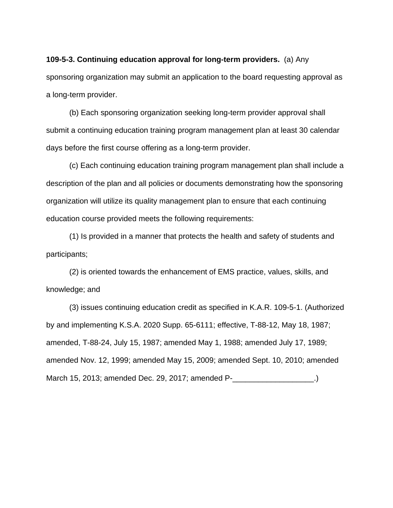**109-5-3. Continuing education approval for long-term providers.** (a) Any sponsoring organization may submit an application to the board requesting approval as a long-term provider.

 (b) Each sponsoring organization seeking long-term provider approval shall submit a continuing education training program management plan at least 30 calendar days before the first course offering as a long-term provider.

(c) Each continuing education training program management plan shall include a description of the plan and all policies or documents demonstrating how the sponsoring organization will utilize its quality management plan to ensure that each continuing education course provided meets the following requirements:

(1) Is provided in a manner that protects the health and safety of students and participants;

 (2) is oriented towards the enhancement of EMS practice, values, skills, and knowledge; and

 (3) issues continuing education credit as specified in K.A.R. 109-5-1. (Authorized by and implementing K.S.A. 2020 Supp. 65-6111; effective, T-88-12, May 18, 1987; amended, T-88-24, July 15, 1987; amended May 1, 1988; amended July 17, 1989; amended Nov. 12, 1999; amended May 15, 2009; amended Sept. 10, 2010; amended March 15, 2013; amended Dec. 29, 2017; amended P-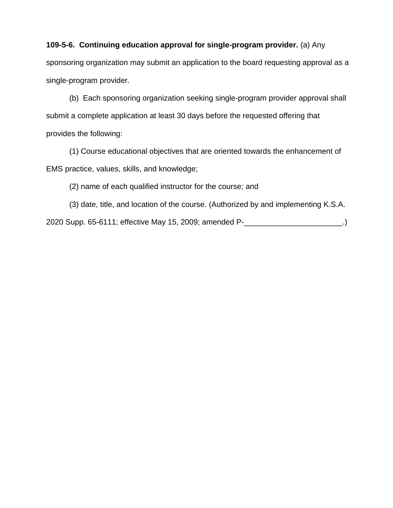## **109-5-6. Continuing education approval for single-program provider.** (a) Any

sponsoring organization may submit an application to the board requesting approval as a single-program provider.

(b) Each sponsoring organization seeking single-program provider approval shall submit a complete application at least 30 days before the requested offering that provides the following:

(1) Course educational objectives that are oriented towards the enhancement of EMS practice, values, skills, and knowledge;

(2) name of each qualified instructor for the course; and

(3) date, title, and location of the course. (Authorized by and implementing K.S.A. 2020 Supp. 65-6111; effective May 15, 2009; amended P-\_\_\_\_\_\_\_\_\_\_\_\_\_\_\_\_\_\_\_\_\_\_\_.)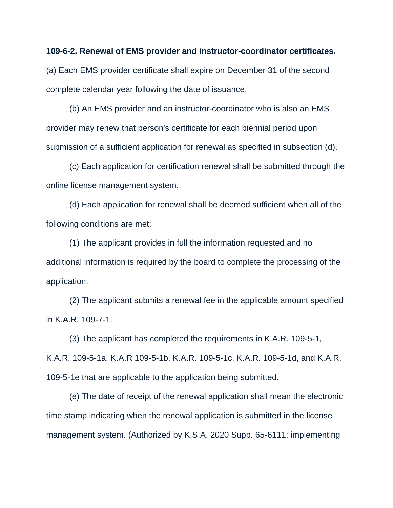## **109-6-2. Renewal of EMS provider and instructor-coordinator certificates.**

(a) Each EMS provider certificate shall expire on December 31 of the second complete calendar year following the date of issuance.

(b) An EMS provider and an instructor-coordinator who is also an EMS provider may renew that person's certificate for each biennial period upon submission of a sufficient application for renewal as specified in subsection (d).

(c) Each application for certification renewal shall be submitted through the online license management system.

(d) Each application for renewal shall be deemed sufficient when all of the following conditions are met:

(1) The applicant provides in full the information requested and no additional information is required by the board to complete the processing of the application.

(2) The applicant submits a renewal fee in the applicable amount specified in K.A.R. 109-7-1.

(3) The applicant has completed the requirements in K.A.R. 109-5-1, K.A.R. 109-5-1a, K.A.R 109-5-1b, K.A.R. 109-5-1c, K.A.R. 109-5-1d, and K.A.R. 109-5-1e that are applicable to the application being submitted.

(e) The date of receipt of the renewal application shall mean the electronic time stamp indicating when the renewal application is submitted in the license management system. (Authorized by K.S.A. 2020 Supp. 65-6111; implementing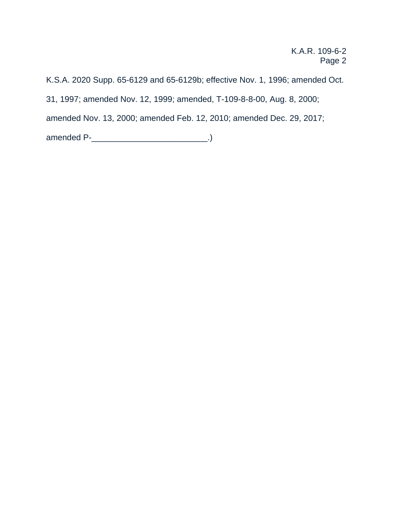K.S.A. 2020 Supp. 65-6129 and 65-6129b; effective Nov. 1, 1996; amended Oct. 31, 1997; amended Nov. 12, 1999; amended, T-109-8-8-00, Aug. 8, 2000; amended Nov. 13, 2000; amended Feb. 12, 2010; amended Dec. 29, 2017; amended P-\_\_\_\_\_\_\_\_\_\_\_\_\_\_\_\_\_\_\_\_\_\_\_\_\_\_\_\_.)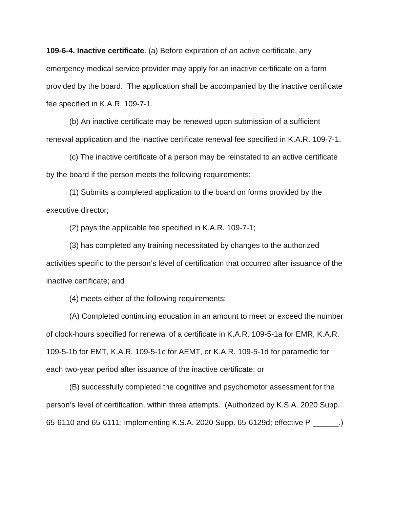**109-6-4. Inactive certificate**. (a) Before expiration of an active certificate, any emergency medical service provider may apply for an inactive certificate on a form provided by the board. The application shall be accompanied by the inactive certificate fee specified in K.A.R. 109-7-1.

(b) An inactive certificate may be renewed upon submission of a sufficient renewal application and the inactive certificate renewal fee specified in K.A.R. 109-7-1.

(c) The inactive certificate of a person may be reinstated to an active certificate by the board if the person meets the following requirements:

(1) Submits a completed application to the board on forms provided by the executive director;

(2) pays the applicable fee specified in K.A.R. 109-7-1;

(3) has completed any training necessitated by changes to the authorized activities specific to the person's level of certification that occurred after issuance of the inactive certificate; and

(4) meets either of the following requirements:

(A) Completed continuing education in an amount to meet or exceed the number of clock-hours specified for renewal of a certificate in K.A.R. 109-5-1a for EMR, K.A.R. 109-5-1b for EMT, K.A.R. 109-5-1c for AEMT, or K.A.R. 109-5-1d for paramedic for each two-year period after issuance of the inactive certificate; or

(B) successfully completed the cognitive and psychomotor assessment for the person's level of certification, within three attempts. (Authorized by K.S.A. 2020 Supp. 65-6110 and 65-6111; implementing K.S.A. 2020 Supp. 65-6129d; effective P-\_\_\_\_\_\_.)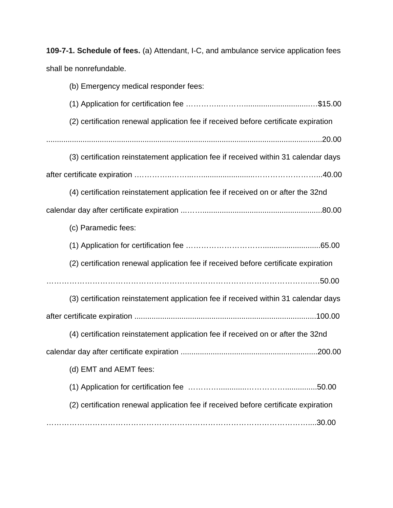**109-7-1. Schedule of fees.** (a) Attendant, I-C, and ambulance service application fees shall be nonrefundable.

| (b) Emergency medical responder fees:                                               |
|-------------------------------------------------------------------------------------|
|                                                                                     |
| (2) certification renewal application fee if received before certificate expiration |
|                                                                                     |
| (3) certification reinstatement application fee if received within 31 calendar days |
|                                                                                     |
| (4) certification reinstatement application fee if received on or after the 32nd    |
|                                                                                     |
| (c) Paramedic fees:                                                                 |
|                                                                                     |
| (2) certification renewal application fee if received before certificate expiration |
|                                                                                     |
| (3) certification reinstatement application fee if received within 31 calendar days |
|                                                                                     |
| (4) certification reinstatement application fee if received on or after the 32nd    |
|                                                                                     |
| (d) EMT and AEMT fees:                                                              |
| .50.00                                                                              |
| (2) certification renewal application fee if received before certificate expiration |
|                                                                                     |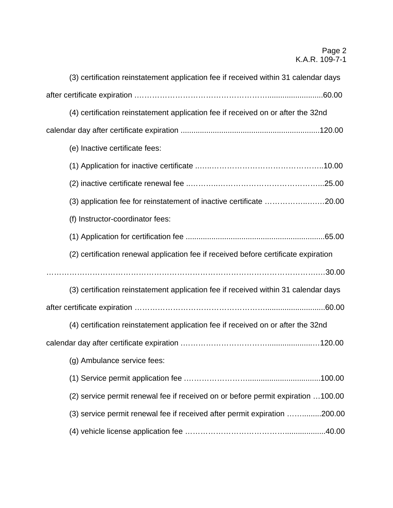| (3) certification reinstatement application fee if received within 31 calendar days |
|-------------------------------------------------------------------------------------|
|                                                                                     |
| (4) certification reinstatement application fee if received on or after the 32nd    |
|                                                                                     |
| (e) Inactive certificate fees:                                                      |
|                                                                                     |
|                                                                                     |
| (3) application fee for reinstatement of inactive certificate 20.00                 |
| (f) Instructor-coordinator fees:                                                    |
|                                                                                     |
| (2) certification renewal application fee if received before certificate expiration |
|                                                                                     |
| (3) certification reinstatement application fee if received within 31 calendar days |
|                                                                                     |
| (4) certification reinstatement application fee if received on or after the 32nd    |
|                                                                                     |
| (g) Ambulance service fees:                                                         |
|                                                                                     |
| (2) service permit renewal fee if received on or before permit expiration  100.00   |
| (3) service permit renewal fee if received after permit expiration 200.00           |
|                                                                                     |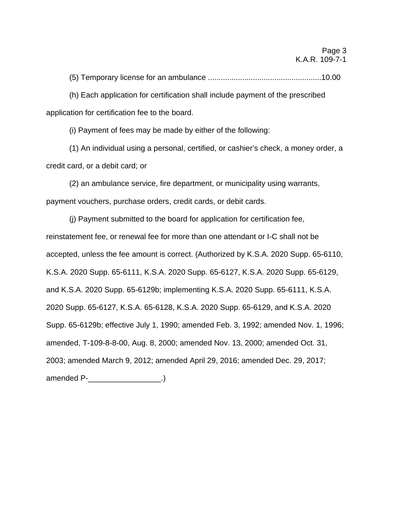(5) Temporary license for an ambulance .....................................................10.00

(h) Each application for certification shall include payment of the prescribed application for certification fee to the board.

(i) Payment of fees may be made by either of the following:

(1) An individual using a personal, certified, or cashier's check, a money order, a credit card, or a debit card; or

(2) an ambulance service, fire department, or municipality using warrants, payment vouchers, purchase orders, credit cards, or debit cards.

(j) Payment submitted to the board for application for certification fee, reinstatement fee, or renewal fee for more than one attendant or I-C shall not be accepted, unless the fee amount is correct. (Authorized by K.S.A. 2020 Supp. 65-6110, K.S.A. 2020 Supp. 65-6111, K.S.A. 2020 Supp. 65-6127, K.S.A. 2020 Supp. 65-6129, and K.S.A. 2020 Supp. 65-6129b; implementing K.S.A. 2020 Supp. 65-6111, K.S.A. 2020 Supp. 65-6127, K.S.A. 65-6128, K.S.A. 2020 Supp. 65-6129, and K.S.A. 2020 Supp. 65-6129b; effective July 1, 1990; amended Feb. 3, 1992; amended Nov. 1, 1996; amended, T-109-8-8-00, Aug. 8, 2000; amended Nov. 13, 2000; amended Oct. 31, 2003; amended March 9, 2012; amended April 29, 2016; amended Dec. 29, 2017; amended P-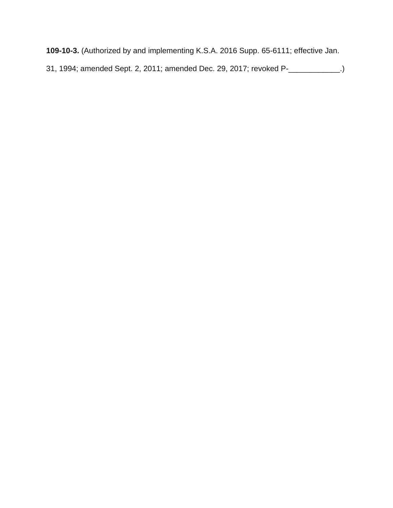**109-10-3.** (Authorized by and implementing K.S.A. 2016 Supp. 65-6111; effective Jan.

31, 1994; amended Sept. 2, 2011; amended Dec. 29, 2017; revoked P-\_\_\_\_\_\_\_\_\_\_\_\_.)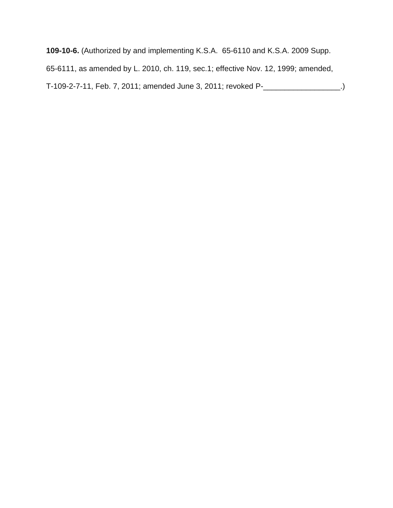**109-10-6.** (Authorized by and implementing K.S.A. 65-6110 and K.S.A. 2009 Supp. 65-6111, as amended by L. 2010, ch. 119, sec.1; effective Nov. 12, 1999; amended, T-109-2-7-11, Feb. 7, 2011; amended June 3, 2011; revoked P-\_\_\_\_\_\_\_\_\_\_\_\_\_\_\_\_\_\_.)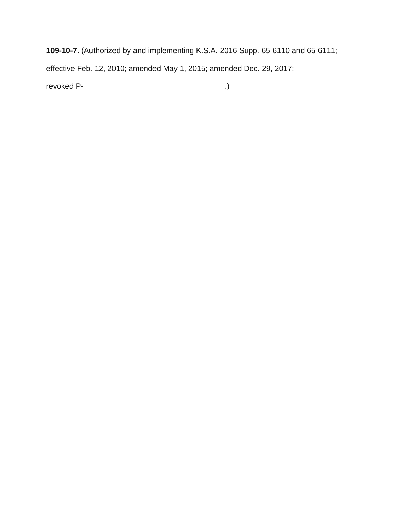**109-10-7.** (Authorized by and implementing K.S.A. 2016 Supp. 65-6110 and 65-6111;

effective Feb. 12, 2010; amended May 1, 2015; amended Dec. 29, 2017;

revoked P-\_\_\_\_\_\_\_\_\_\_\_\_\_\_\_\_\_\_\_\_\_\_\_\_\_\_\_\_\_\_\_\_\_.)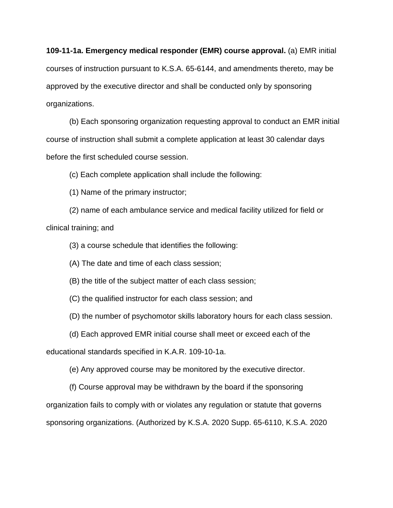**109-11-1a. Emergency medical responder (EMR) course approval.** (a) EMR initial courses of instruction pursuant to K.S.A. 65-6144, and amendments thereto, may be approved by the executive director and shall be conducted only by sponsoring organizations.

(b) Each sponsoring organization requesting approval to conduct an EMR initial course of instruction shall submit a complete application at least 30 calendar days before the first scheduled course session.

(c) Each complete application shall include the following:

(1) Name of the primary instructor;

(2) name of each ambulance service and medical facility utilized for field or clinical training; and

(3) a course schedule that identifies the following:

(A) The date and time of each class session;

(B) the title of the subject matter of each class session;

(C) the qualified instructor for each class session; and

(D) the number of psychomotor skills laboratory hours for each class session.

(d) Each approved EMR initial course shall meet or exceed each of the

educational standards specified in K.A.R. 109-10-1a.

(e) Any approved course may be monitored by the executive director.

(f) Course approval may be withdrawn by the board if the sponsoring

organization fails to comply with or violates any regulation or statute that governs

sponsoring organizations. (Authorized by K.S.A. 2020 Supp. 65-6110, K.S.A. 2020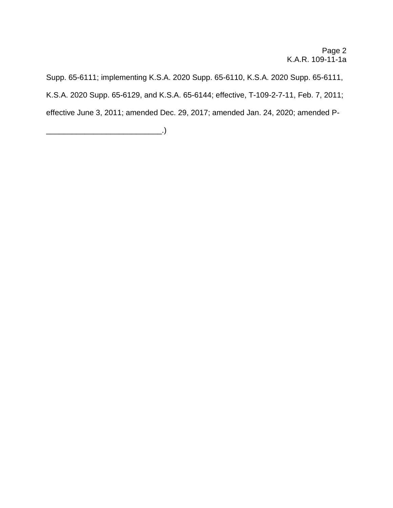Supp. 65-6111; implementing K.S.A. 2020 Supp. 65-6110, K.S.A. 2020 Supp. 65-6111, K.S.A. 2020 Supp. 65-6129, and K.S.A. 65-6144; effective, T-109-2-7-11, Feb. 7, 2011; effective June 3, 2011; amended Dec. 29, 2017; amended Jan. 24, 2020; amended P-

\_\_\_\_\_\_\_\_\_\_\_\_\_\_\_\_\_\_\_\_\_\_\_\_\_\_\_.)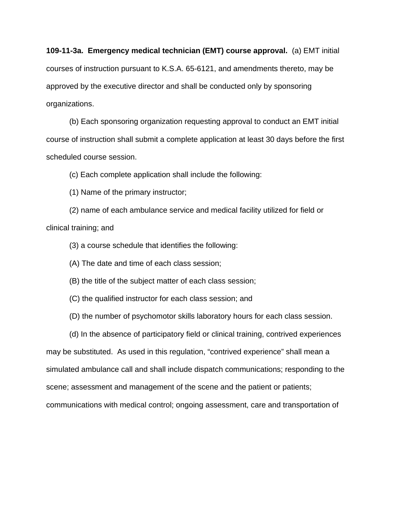# **109-11-3a. Emergency medical technician (EMT) course approval.** (a) EMT initial courses of instruction pursuant to K.S.A. 65-6121, and amendments thereto, may be approved by the executive director and shall be conducted only by sponsoring organizations.

(b) Each sponsoring organization requesting approval to conduct an EMT initial course of instruction shall submit a complete application at least 30 days before the first scheduled course session.

(c) Each complete application shall include the following:

(1) Name of the primary instructor;

(2) name of each ambulance service and medical facility utilized for field or clinical training; and

(3) a course schedule that identifies the following:

(A) The date and time of each class session;

(B) the title of the subject matter of each class session;

(C) the qualified instructor for each class session; and

(D) the number of psychomotor skills laboratory hours for each class session.

(d) In the absence of participatory field or clinical training, contrived experiences

may be substituted. As used in this regulation, "contrived experience" shall mean a simulated ambulance call and shall include dispatch communications; responding to the scene; assessment and management of the scene and the patient or patients; communications with medical control; ongoing assessment, care and transportation of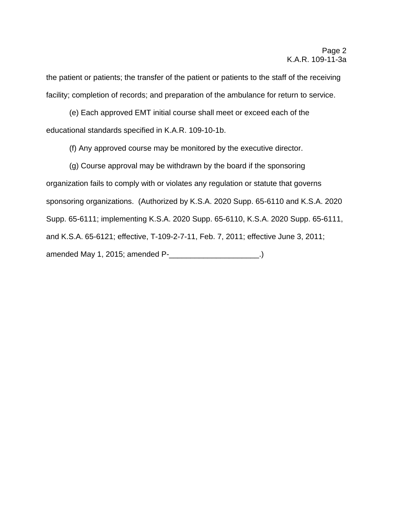the patient or patients; the transfer of the patient or patients to the staff of the receiving facility; completion of records; and preparation of the ambulance for return to service.

(e) Each approved EMT initial course shall meet or exceed each of the educational standards specified in K.A.R. 109-10-1b.

(f) Any approved course may be monitored by the executive director.

 (g) Course approval may be withdrawn by the board if the sponsoring organization fails to comply with or violates any regulation or statute that governs sponsoring organizations. (Authorized by K.S.A. 2020 Supp. 65-6110 and K.S.A. 2020 Supp. 65-6111; implementing K.S.A. 2020 Supp. 65-6110, K.S.A. 2020 Supp. 65-6111, and K.S.A. 65-6121; effective, T-109-2-7-11, Feb. 7, 2011; effective June 3, 2011; amended May 1, 2015; amended P-\_\_\_\_\_\_\_\_\_\_\_\_\_\_\_\_\_\_\_\_\_.)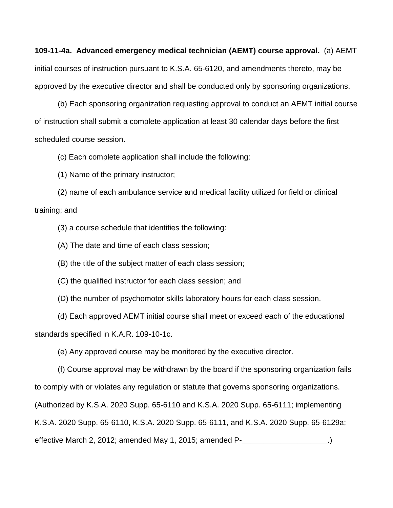**109-11-4a. Advanced emergency medical technician (AEMT) course approval.** (a) AEMT initial courses of instruction pursuant to K.S.A. 65-6120, and amendments thereto, may be approved by the executive director and shall be conducted only by sponsoring organizations.

(b) Each sponsoring organization requesting approval to conduct an AEMT initial course of instruction shall submit a complete application at least 30 calendar days before the first scheduled course session.

(c) Each complete application shall include the following:

(1) Name of the primary instructor;

(2) name of each ambulance service and medical facility utilized for field or clinical training; and

(3) a course schedule that identifies the following:

(A) The date and time of each class session;

(B) the title of the subject matter of each class session;

(C) the qualified instructor for each class session; and

(D) the number of psychomotor skills laboratory hours for each class session.

(d) Each approved AEMT initial course shall meet or exceed each of the educational standards specified in K.A.R. 109-10-1c.

(e) Any approved course may be monitored by the executive director.

(f) Course approval may be withdrawn by the board if the sponsoring organization fails to comply with or violates any regulation or statute that governs sponsoring organizations. (Authorized by K.S.A. 2020 Supp. 65-6110 and K.S.A. 2020 Supp. 65-6111; implementing

K.S.A. 2020 Supp. 65-6110, K.S.A. 2020 Supp. 65-6111, and K.S.A. 2020 Supp. 65-6129a;

effective March 2, 2012; amended May 1, 2015; amended P-\_\_\_\_\_\_\_\_\_\_\_\_\_\_\_\_\_\_\_\_.)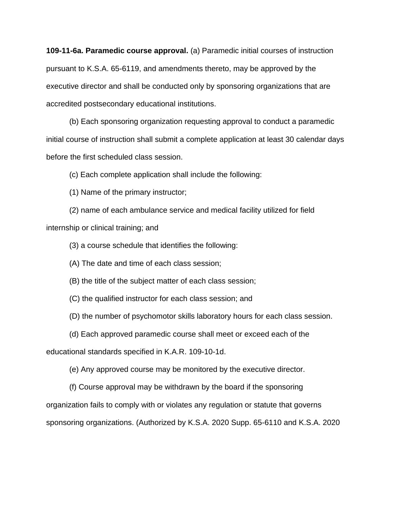**109-11-6a. Paramedic course approval.** (a) Paramedic initial courses of instruction pursuant to K.S.A. 65-6119, and amendments thereto, may be approved by the executive director and shall be conducted only by sponsoring organizations that are accredited postsecondary educational institutions.

(b) Each sponsoring organization requesting approval to conduct a paramedic initial course of instruction shall submit a complete application at least 30 calendar days before the first scheduled class session.

(c) Each complete application shall include the following:

(1) Name of the primary instructor;

(2) name of each ambulance service and medical facility utilized for field internship or clinical training; and

(3) a course schedule that identifies the following:

(A) The date and time of each class session;

(B) the title of the subject matter of each class session;

(C) the qualified instructor for each class session; and

(D) the number of psychomotor skills laboratory hours for each class session.

(d) Each approved paramedic course shall meet or exceed each of the

educational standards specified in K.A.R. 109-10-1d.

(e) Any approved course may be monitored by the executive director.

(f) Course approval may be withdrawn by the board if the sponsoring

organization fails to comply with or violates any regulation or statute that governs

sponsoring organizations. (Authorized by K.S.A. 2020 Supp. 65-6110 and K.S.A. 2020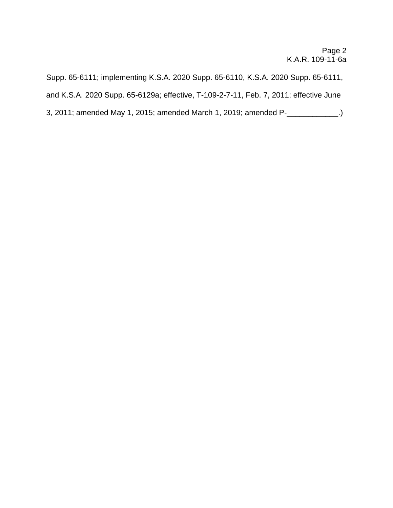Supp. 65-6111; implementing K.S.A. 2020 Supp. 65-6110, K.S.A. 2020 Supp. 65-6111, and K.S.A. 2020 Supp. 65-6129a; effective, T-109-2-7-11, Feb. 7, 2011; effective June 3, 2011; amended May 1, 2015; amended March 1, 2019; amended P-\_\_\_\_\_\_\_\_\_\_\_\_.)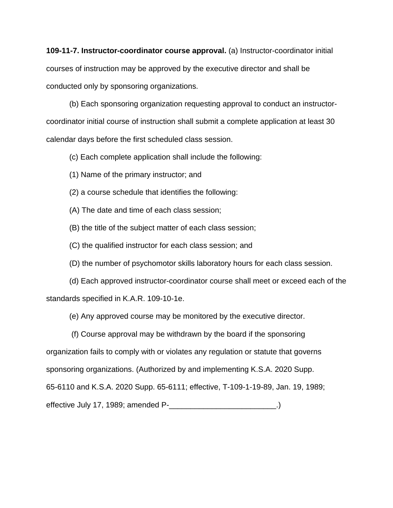**109-11-7. Instructor-coordinator course approval.** (a) Instructor-coordinator initial courses of instruction may be approved by the executive director and shall be conducted only by sponsoring organizations.

(b) Each sponsoring organization requesting approval to conduct an instructorcoordinator initial course of instruction shall submit a complete application at least 30 calendar days before the first scheduled class session.

(c) Each complete application shall include the following:

- (1) Name of the primary instructor; and
- (2) a course schedule that identifies the following:
- (A) The date and time of each class session;
- (B) the title of the subject matter of each class session;
- (C) the qualified instructor for each class session; and
- (D) the number of psychomotor skills laboratory hours for each class session.

(d) Each approved instructor-coordinator course shall meet or exceed each of the standards specified in K.A.R. 109-10-1e.

(e) Any approved course may be monitored by the executive director.

(f) Course approval may be withdrawn by the board if the sponsoring

organization fails to comply with or violates any regulation or statute that governs

sponsoring organizations. (Authorized by and implementing K.S.A. 2020 Supp.

65-6110 and K.S.A. 2020 Supp. 65-6111; effective, T-109-1-19-89, Jan. 19, 1989;

effective July 17, 1989; amended P-\_\_\_\_\_\_\_\_\_\_\_\_\_\_\_\_\_\_\_\_\_\_\_\_\_\_\_\_.)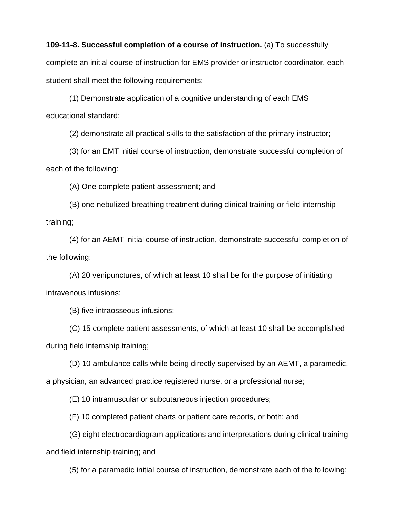### **109-11-8. Successful completion of a course of instruction.** (a) To successfully

complete an initial course of instruction for EMS provider or instructor-coordinator, each student shall meet the following requirements:

 (1) Demonstrate application of a cognitive understanding of each EMS educational standard;

(2) demonstrate all practical skills to the satisfaction of the primary instructor;

(3) for an EMT initial course of instruction, demonstrate successful completion of each of the following:

(A) One complete patient assessment; and

(B) one nebulized breathing treatment during clinical training or field internship training;

(4) for an AEMT initial course of instruction, demonstrate successful completion of the following:

(A) 20 venipunctures, of which at least 10 shall be for the purpose of initiating intravenous infusions;

(B) five intraosseous infusions;

(C) 15 complete patient assessments, of which at least 10 shall be accomplished during field internship training;

(D) 10 ambulance calls while being directly supervised by an AEMT, a paramedic, a physician, an advanced practice registered nurse, or a professional nurse;

(E) 10 intramuscular or subcutaneous injection procedures;

(F) 10 completed patient charts or patient care reports, or both; and

(G) eight electrocardiogram applications and interpretations during clinical training and field internship training; and

(5) for a paramedic initial course of instruction, demonstrate each of the following: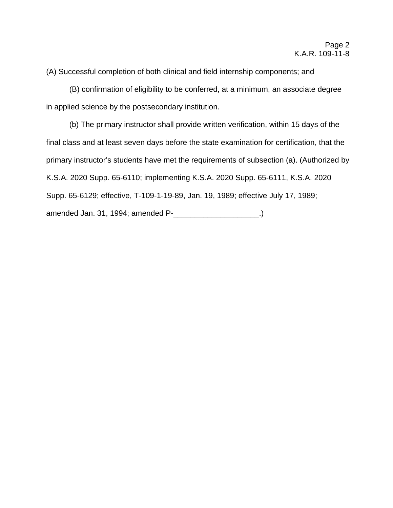(A) Successful completion of both clinical and field internship components; and

(B) confirmation of eligibility to be conferred, at a minimum, an associate degree in applied science by the postsecondary institution.

 (b) The primary instructor shall provide written verification, within 15 days of the final class and at least seven days before the state examination for certification, that the primary instructor's students have met the requirements of subsection (a). (Authorized by K.S.A. 2020 Supp. 65-6110; implementing K.S.A. 2020 Supp. 65-6111, K.S.A. 2020 Supp. 65-6129; effective, T-109-1-19-89, Jan. 19, 1989; effective July 17, 1989; amended Jan. 31, 1994; amended P-\_\_\_\_\_\_\_\_\_\_\_\_\_\_\_\_\_\_\_\_\_.)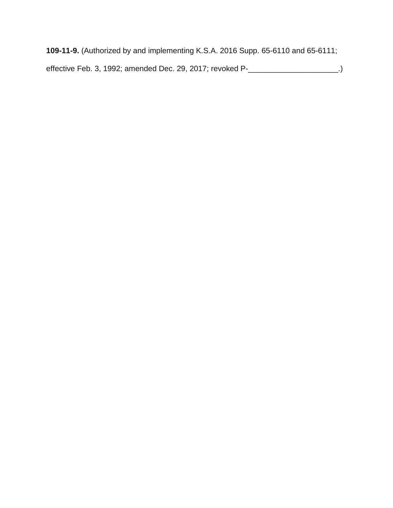**109-11-9.** (Authorized by and implementing K.S.A. 2016 Supp. 65-6110 and 65-6111; effective Feb. 3, 1992; amended Dec. 29, 2017; revoked P-\_\_\_\_\_\_\_\_\_\_\_\_\_\_\_\_\_\_\_\_\_.)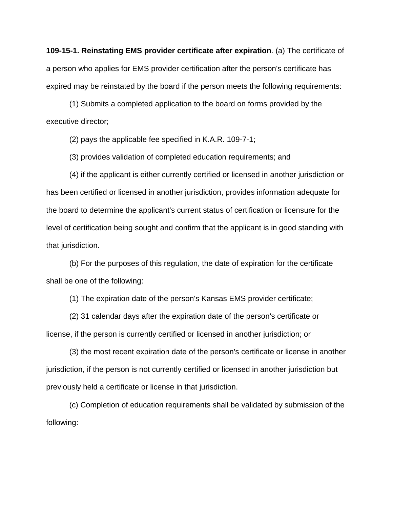**109-15-1. Reinstating EMS provider certificate after expiration**. (a) The certificate of a person who applies for EMS provider certification after the person's certificate has expired may be reinstated by the board if the person meets the following requirements:

(1) Submits a completed application to the board on forms provided by the executive director;

(2) pays the applicable fee specified in K.A.R. 109-7-1;

(3) provides validation of completed education requirements; and

(4) if the applicant is either currently certified or licensed in another jurisdiction or has been certified or licensed in another jurisdiction, provides information adequate for the board to determine the applicant's current status of certification or licensure for the level of certification being sought and confirm that the applicant is in good standing with that jurisdiction.

(b) For the purposes of this regulation, the date of expiration for the certificate shall be one of the following:

(1) The expiration date of the person's Kansas EMS provider certificate;

(2) 31 calendar days after the expiration date of the person's certificate or license, if the person is currently certified or licensed in another jurisdiction; or

(3) the most recent expiration date of the person's certificate or license in another jurisdiction, if the person is not currently certified or licensed in another jurisdiction but previously held a certificate or license in that jurisdiction.

(c) Completion of education requirements shall be validated by submission of the following: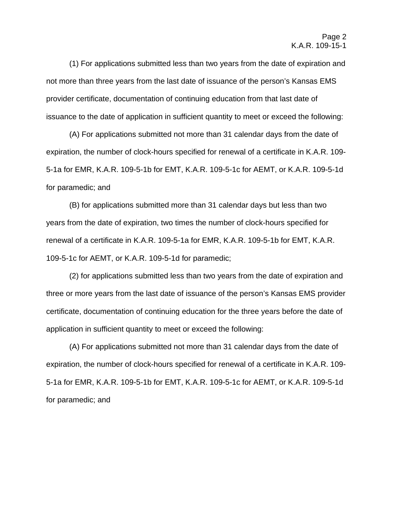(1) For applications submitted less than two years from the date of expiration and not more than three years from the last date of issuance of the person's Kansas EMS provider certificate, documentation of continuing education from that last date of issuance to the date of application in sufficient quantity to meet or exceed the following:

(A) For applications submitted not more than 31 calendar days from the date of expiration, the number of clock-hours specified for renewal of a certificate in K.A.R. 109- 5-1a for EMR, K.A.R. 109-5-1b for EMT, K.A.R. 109-5-1c for AEMT, or K.A.R. 109-5-1d for paramedic; and

(B) for applications submitted more than 31 calendar days but less than two years from the date of expiration, two times the number of clock-hours specified for renewal of a certificate in K.A.R. 109-5-1a for EMR, K.A.R. 109-5-1b for EMT, K.A.R. 109-5-1c for AEMT, or K.A.R. 109-5-1d for paramedic;

(2) for applications submitted less than two years from the date of expiration and three or more years from the last date of issuance of the person's Kansas EMS provider certificate, documentation of continuing education for the three years before the date of application in sufficient quantity to meet or exceed the following:

(A) For applications submitted not more than 31 calendar days from the date of expiration, the number of clock-hours specified for renewal of a certificate in K.A.R. 109- 5-1a for EMR, K.A.R. 109-5-1b for EMT, K.A.R. 109-5-1c for AEMT, or K.A.R. 109-5-1d for paramedic; and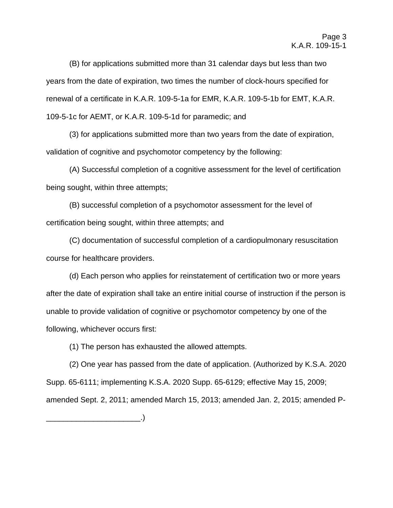(B) for applications submitted more than 31 calendar days but less than two years from the date of expiration, two times the number of clock-hours specified for renewal of a certificate in K.A.R. 109-5-1a for EMR, K.A.R. 109-5-1b for EMT, K.A.R. 109-5-1c for AEMT, or K.A.R. 109-5-1d for paramedic; and

(3) for applications submitted more than two years from the date of expiration, validation of cognitive and psychomotor competency by the following:

(A) Successful completion of a cognitive assessment for the level of certification being sought, within three attempts;

(B) successful completion of a psychomotor assessment for the level of certification being sought, within three attempts; and

(C) documentation of successful completion of a cardiopulmonary resuscitation course for healthcare providers.

(d) Each person who applies for reinstatement of certification two or more years after the date of expiration shall take an entire initial course of instruction if the person is unable to provide validation of cognitive or psychomotor competency by one of the following, whichever occurs first:

(1) The person has exhausted the allowed attempts.

\_\_\_\_\_\_\_\_\_\_\_\_\_\_\_\_\_\_\_\_\_\_.)

(2) One year has passed from the date of application. (Authorized by K.S.A. 2020 Supp. 65-6111; implementing K.S.A. 2020 Supp. 65-6129; effective May 15, 2009; amended Sept. 2, 2011; amended March 15, 2013; amended Jan. 2, 2015; amended P-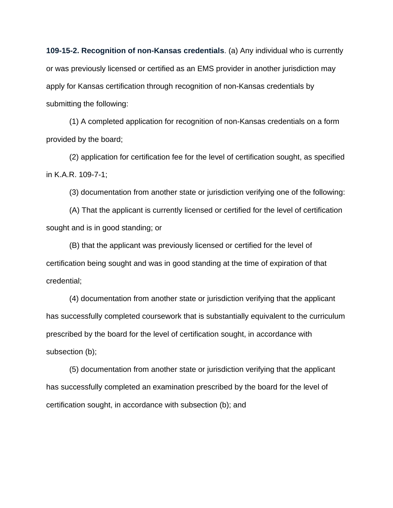**109-15-2. Recognition of non-Kansas credentials**. (a) Any individual who is currently or was previously licensed or certified as an EMS provider in another jurisdiction may apply for Kansas certification through recognition of non-Kansas credentials by submitting the following:

(1) A completed application for recognition of non-Kansas credentials on a form provided by the board;

(2) application for certification fee for the level of certification sought, as specified in K.A.R. 109-7-1;

(3) documentation from another state or jurisdiction verifying one of the following:

(A) That the applicant is currently licensed or certified for the level of certification sought and is in good standing; or

(B) that the applicant was previously licensed or certified for the level of certification being sought and was in good standing at the time of expiration of that credential;

(4) documentation from another state or jurisdiction verifying that the applicant has successfully completed coursework that is substantially equivalent to the curriculum prescribed by the board for the level of certification sought, in accordance with subsection (b);

(5) documentation from another state or jurisdiction verifying that the applicant has successfully completed an examination prescribed by the board for the level of certification sought, in accordance with subsection (b); and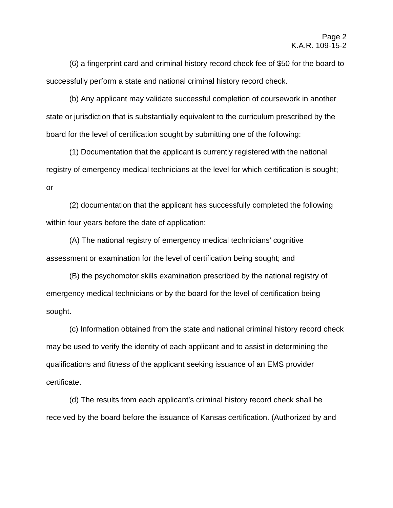(6) a fingerprint card and criminal history record check fee of \$50 for the board to successfully perform a state and national criminal history record check.

(b) Any applicant may validate successful completion of coursework in another state or jurisdiction that is substantially equivalent to the curriculum prescribed by the board for the level of certification sought by submitting one of the following:

(1) Documentation that the applicant is currently registered with the national registry of emergency medical technicians at the level for which certification is sought; or

(2) documentation that the applicant has successfully completed the following within four years before the date of application:

(A) The national registry of emergency medical technicians' cognitive assessment or examination for the level of certification being sought; and

(B) the psychomotor skills examination prescribed by the national registry of emergency medical technicians or by the board for the level of certification being sought.

(c) Information obtained from the state and national criminal history record check may be used to verify the identity of each applicant and to assist in determining the qualifications and fitness of the applicant seeking issuance of an EMS provider certificate.

(d) The results from each applicant's criminal history record check shall be received by the board before the issuance of Kansas certification. (Authorized by and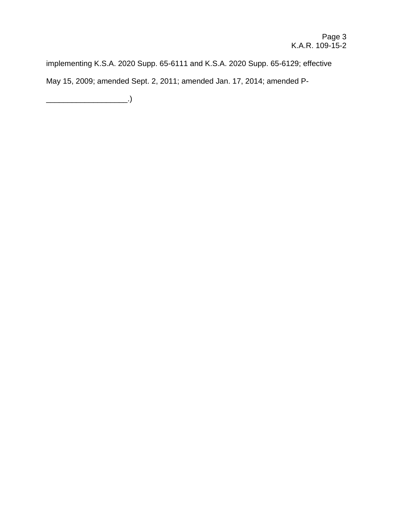implementing K.S.A. 2020 Supp. 65-6111 and K.S.A. 2020 Supp. 65-6129; effective May 15, 2009; amended Sept. 2, 2011; amended Jan. 17, 2014; amended P-

\_\_\_\_\_\_\_\_\_\_\_\_\_\_\_\_\_\_\_.)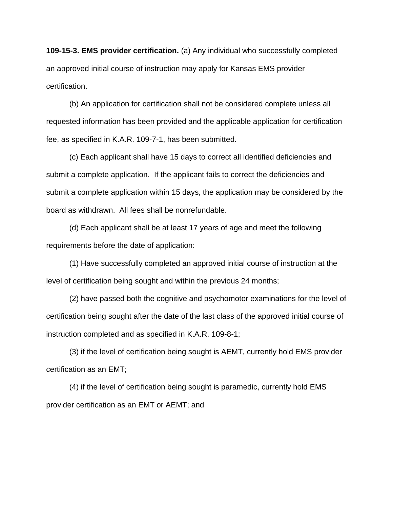**109-15-3. EMS provider certification.** (a) Any individual who successfully completed an approved initial course of instruction may apply for Kansas EMS provider certification.

(b) An application for certification shall not be considered complete unless all requested information has been provided and the applicable application for certification fee, as specified in K.A.R. 109-7-1, has been submitted.

(c) Each applicant shall have 15 days to correct all identified deficiencies and submit a complete application. If the applicant fails to correct the deficiencies and submit a complete application within 15 days, the application may be considered by the board as withdrawn. All fees shall be nonrefundable.

(d) Each applicant shall be at least 17 years of age and meet the following requirements before the date of application:

(1) Have successfully completed an approved initial course of instruction at the level of certification being sought and within the previous 24 months;

(2) have passed both the cognitive and psychomotor examinations for the level of certification being sought after the date of the last class of the approved initial course of instruction completed and as specified in K.A.R. 109-8-1;

(3) if the level of certification being sought is AEMT, currently hold EMS provider certification as an EMT;

(4) if the level of certification being sought is paramedic, currently hold EMS provider certification as an EMT or AEMT; and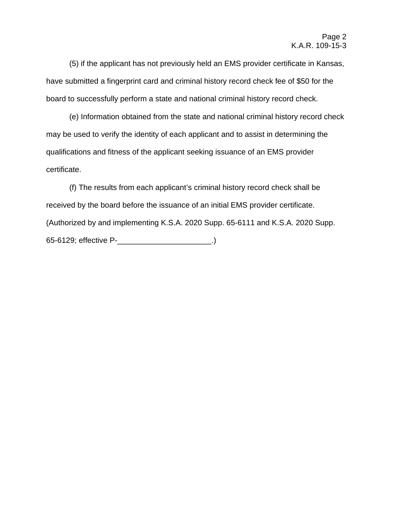(5) if the applicant has not previously held an EMS provider certificate in Kansas, have submitted a fingerprint card and criminal history record check fee of \$50 for the board to successfully perform a state and national criminal history record check.

(e) Information obtained from the state and national criminal history record check may be used to verify the identity of each applicant and to assist in determining the qualifications and fitness of the applicant seeking issuance of an EMS provider certificate.

(f) The results from each applicant's criminal history record check shall be received by the board before the issuance of an initial EMS provider certificate. (Authorized by and implementing K.S.A. 2020 Supp. 65-6111 and K.S.A. 2020 Supp. 65-6129; effective P-\_\_\_\_\_\_\_\_\_\_\_\_\_\_\_\_\_\_\_\_\_\_.)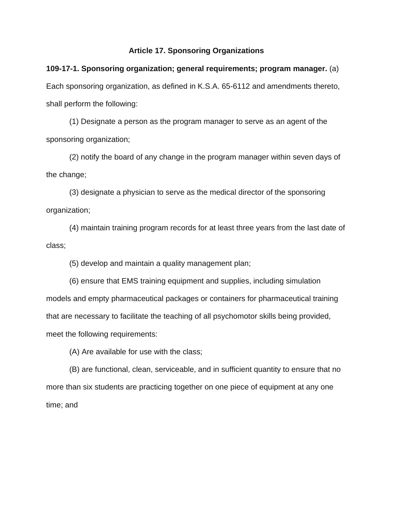#### **Article 17. Sponsoring Organizations**

**109-17-1. Sponsoring organization; general requirements; program manager.** (a) Each sponsoring organization, as defined in K.S.A. 65-6112 and amendments thereto, shall perform the following:

(1) Designate a person as the program manager to serve as an agent of the sponsoring organization;

(2) notify the board of any change in the program manager within seven days of the change;

(3) designate a physician to serve as the medical director of the sponsoring organization;

(4) maintain training program records for at least three years from the last date of class;

(5) develop and maintain a quality management plan;

(6) ensure that EMS training equipment and supplies, including simulation models and empty pharmaceutical packages or containers for pharmaceutical training that are necessary to facilitate the teaching of all psychomotor skills being provided, meet the following requirements:

(A) Are available for use with the class;

(B) are functional, clean, serviceable, and in sufficient quantity to ensure that no more than six students are practicing together on one piece of equipment at any one time; and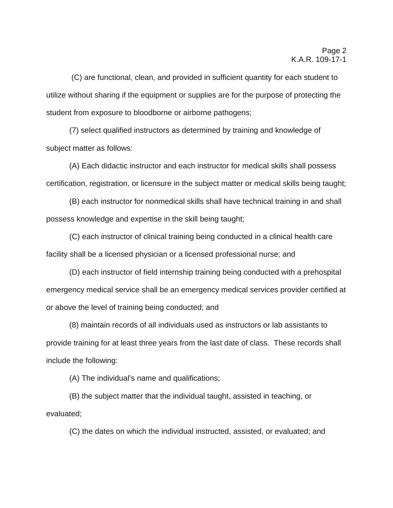(C) are functional, clean, and provided in sufficient quantity for each student to utilize without sharing if the equipment or supplies are for the purpose of protecting the student from exposure to bloodborne or airborne pathogens;

(7) select qualified instructors as determined by training and knowledge of subject matter as follows:

(A) Each didactic instructor and each instructor for medical skills shall possess certification, registration, or licensure in the subject matter or medical skills being taught;

(B) each instructor for nonmedical skills shall have technical training in and shall possess knowledge and expertise in the skill being taught;

(C) each instructor of clinical training being conducted in a clinical health care facility shall be a licensed physician or a licensed professional nurse; and

(D) each instructor of field internship training being conducted with a prehospital emergency medical service shall be an emergency medical services provider certified at or above the level of training being conducted; and

(8) maintain records of all individuals used as instructors or lab assistants to provide training for at least three years from the last date of class. These records shall include the following:

(A) The individual's name and qualifications;

(B) the subject matter that the individual taught, assisted in teaching, or evaluated;

(C) the dates on which the individual instructed, assisted, or evaluated; and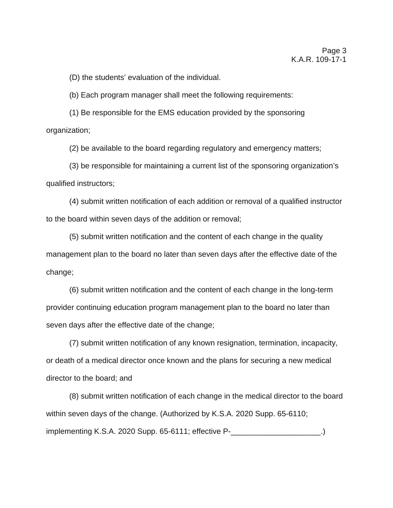(D) the students' evaluation of the individual.

(b) Each program manager shall meet the following requirements:

(1) Be responsible for the EMS education provided by the sponsoring organization;

(2) be available to the board regarding regulatory and emergency matters;

(3) be responsible for maintaining a current list of the sponsoring organization's qualified instructors;

(4) submit written notification of each addition or removal of a qualified instructor to the board within seven days of the addition or removal;

(5) submit written notification and the content of each change in the quality management plan to the board no later than seven days after the effective date of the change;

(6) submit written notification and the content of each change in the long-term provider continuing education program management plan to the board no later than seven days after the effective date of the change;

(7) submit written notification of any known resignation, termination, incapacity, or death of a medical director once known and the plans for securing a new medical director to the board; and

(8) submit written notification of each change in the medical director to the board within seven days of the change. (Authorized by K.S.A. 2020 Supp. 65-6110; implementing K.S.A. 2020 Supp. 65-6111; effective P-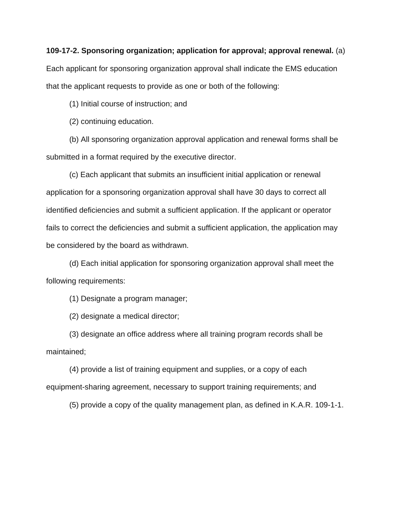#### **109-17-2. Sponsoring organization; application for approval; approval renewal.** (a)

Each applicant for sponsoring organization approval shall indicate the EMS education that the applicant requests to provide as one or both of the following:

(1) Initial course of instruction; and

(2) continuing education.

(b) All sponsoring organization approval application and renewal forms shall be submitted in a format required by the executive director.

(c) Each applicant that submits an insufficient initial application or renewal application for a sponsoring organization approval shall have 30 days to correct all identified deficiencies and submit a sufficient application. If the applicant or operator fails to correct the deficiencies and submit a sufficient application, the application may be considered by the board as withdrawn.

(d) Each initial application for sponsoring organization approval shall meet the following requirements:

(1) Designate a program manager;

(2) designate a medical director;

(3) designate an office address where all training program records shall be maintained;

(4) provide a list of training equipment and supplies, or a copy of each equipment-sharing agreement, necessary to support training requirements; and

(5) provide a copy of the quality management plan, as defined in K.A.R. 109-1-1.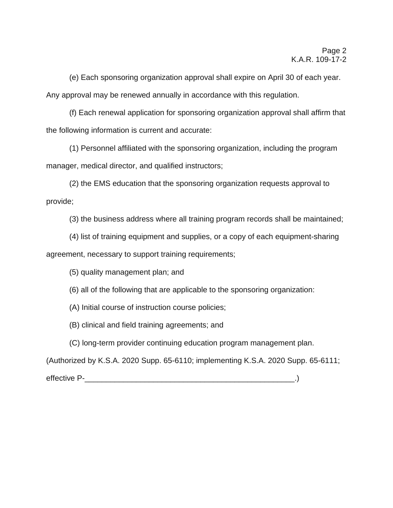(e) Each sponsoring organization approval shall expire on April 30 of each year. Any approval may be renewed annually in accordance with this regulation.

(f) Each renewal application for sponsoring organization approval shall affirm that the following information is current and accurate:

(1) Personnel affiliated with the sponsoring organization, including the program manager, medical director, and qualified instructors;

(2) the EMS education that the sponsoring organization requests approval to provide;

(3) the business address where all training program records shall be maintained;

(4) list of training equipment and supplies, or a copy of each equipment-sharing agreement, necessary to support training requirements;

(5) quality management plan; and

(6) all of the following that are applicable to the sponsoring organization:

(A) Initial course of instruction course policies;

(B) clinical and field training agreements; and

(C) long-term provider continuing education program management plan.

(Authorized by K.S.A. 2020 Supp. 65-6110; implementing K.S.A. 2020 Supp. 65-6111;

effective P-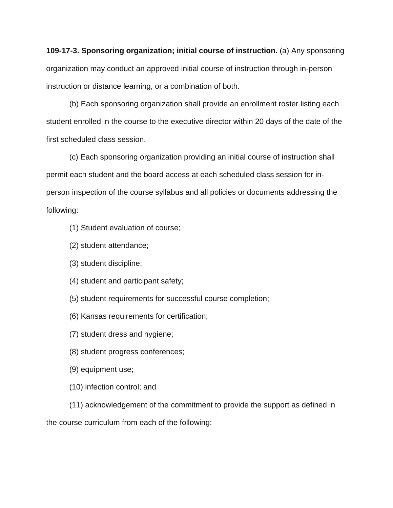**109-17-3. Sponsoring organization; initial course of instruction.** (a) Any sponsoring organization may conduct an approved initial course of instruction through in-person instruction or distance learning, or a combination of both.

(b) Each sponsoring organization shall provide an enrollment roster listing each student enrolled in the course to the executive director within 20 days of the date of the first scheduled class session.

(c) Each sponsoring organization providing an initial course of instruction shall permit each student and the board access at each scheduled class session for inperson inspection of the course syllabus and all policies or documents addressing the following:

- (1) Student evaluation of course;
- (2) student attendance;
- (3) student discipline;
- (4) student and participant safety;
- (5) student requirements for successful course completion;
- (6) Kansas requirements for certification;
- (7) student dress and hygiene;
- (8) student progress conferences;
- (9) equipment use;
- (10) infection control; and

(11) acknowledgement of the commitment to provide the support as defined in the course curriculum from each of the following: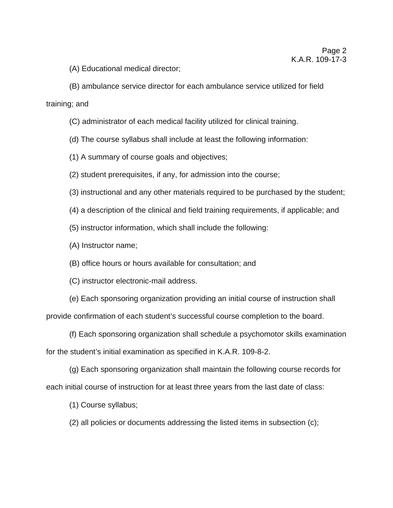(A) Educational medical director;

(B) ambulance service director for each ambulance service utilized for field training; and

(C) administrator of each medical facility utilized for clinical training.

(d) The course syllabus shall include at least the following information:

(1) A summary of course goals and objectives;

(2) student prerequisites, if any, for admission into the course;

(3) instructional and any other materials required to be purchased by the student;

(4) a description of the clinical and field training requirements, if applicable; and

(5) instructor information, which shall include the following:

(A) Instructor name;

(B) office hours or hours available for consultation; and

(C) instructor electronic-mail address.

(e) Each sponsoring organization providing an initial course of instruction shall provide confirmation of each student's successful course completion to the board.

(f) Each sponsoring organization shall schedule a psychomotor skills examination for the student's initial examination as specified in K.A.R. 109-8-2.

(g) Each sponsoring organization shall maintain the following course records for each initial course of instruction for at least three years from the last date of class:

(1) Course syllabus;

(2) all policies or documents addressing the listed items in subsection (c);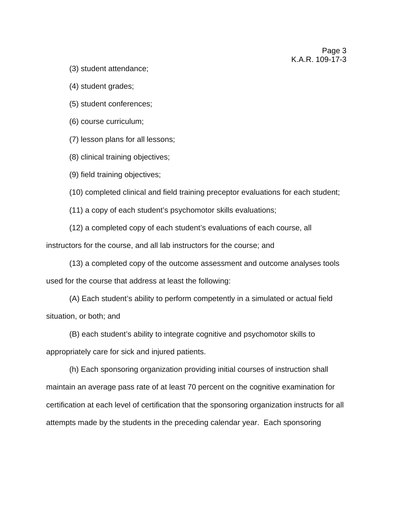(3) student attendance;

(4) student grades;

(5) student conferences;

(6) course curriculum;

(7) lesson plans for all lessons;

(8) clinical training objectives;

(9) field training objectives;

(10) completed clinical and field training preceptor evaluations for each student;

(11) a copy of each student's psychomotor skills evaluations;

(12) a completed copy of each student's evaluations of each course, all instructors for the course, and all lab instructors for the course; and

(13) a completed copy of the outcome assessment and outcome analyses tools used for the course that address at least the following:

(A) Each student's ability to perform competently in a simulated or actual field situation, or both; and

(B) each student's ability to integrate cognitive and psychomotor skills to appropriately care for sick and injured patients.

(h) Each sponsoring organization providing initial courses of instruction shall maintain an average pass rate of at least 70 percent on the cognitive examination for certification at each level of certification that the sponsoring organization instructs for all attempts made by the students in the preceding calendar year. Each sponsoring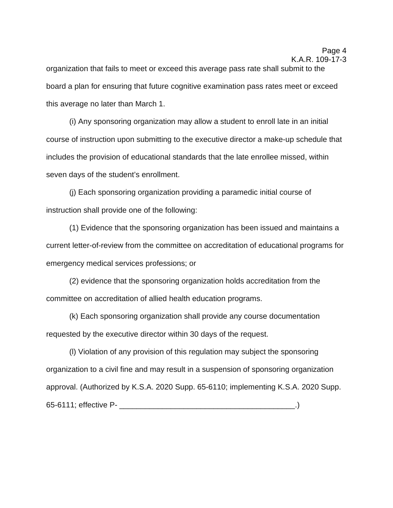organization that fails to meet or exceed this average pass rate shall submit to the board a plan for ensuring that future cognitive examination pass rates meet or exceed this average no later than March 1.

(i) Any sponsoring organization may allow a student to enroll late in an initial course of instruction upon submitting to the executive director a make-up schedule that includes the provision of educational standards that the late enrollee missed, within seven days of the student's enrollment.

(j) Each sponsoring organization providing a paramedic initial course of instruction shall provide one of the following:

(1) Evidence that the sponsoring organization has been issued and maintains a current letter-of-review from the committee on accreditation of educational programs for emergency medical services professions; or

(2) evidence that the sponsoring organization holds accreditation from the committee on accreditation of allied health education programs.

(k) Each sponsoring organization shall provide any course documentation requested by the executive director within 30 days of the request.

(l) Violation of any provision of this regulation may subject the sponsoring organization to a civil fine and may result in a suspension of sponsoring organization approval. (Authorized by K.S.A. 2020 Supp. 65-6110; implementing K.S.A. 2020 Supp. 65-6111; effective P- \_\_\_\_\_\_\_\_\_\_\_\_\_\_\_\_\_\_\_\_\_\_\_\_\_\_\_\_\_\_\_\_\_\_\_\_\_\_\_\_\_.)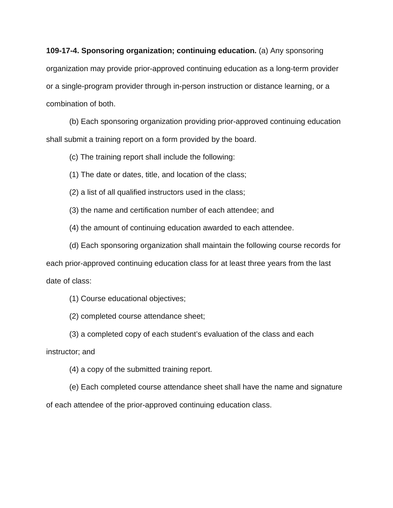**109-17-4. Sponsoring organization; continuing education.** (a) Any sponsoring organization may provide prior-approved continuing education as a long-term provider or a single-program provider through in-person instruction or distance learning, or a combination of both.

(b) Each sponsoring organization providing prior-approved continuing education shall submit a training report on a form provided by the board.

(c) The training report shall include the following:

(1) The date or dates, title, and location of the class;

(2) a list of all qualified instructors used in the class;

(3) the name and certification number of each attendee; and

(4) the amount of continuing education awarded to each attendee.

(d) Each sponsoring organization shall maintain the following course records for

each prior-approved continuing education class for at least three years from the last date of class:

(1) Course educational objectives;

(2) completed course attendance sheet;

(3) a completed copy of each student's evaluation of the class and each

instructor; and

(4) a copy of the submitted training report.

(e) Each completed course attendance sheet shall have the name and signature of each attendee of the prior-approved continuing education class.